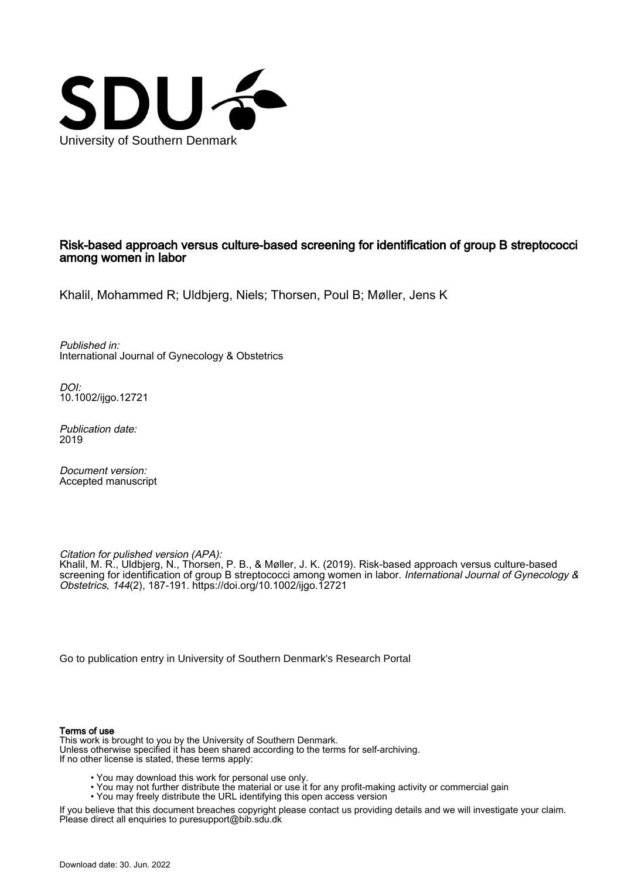

#### Risk-based approach versus culture-based screening for identification of group B streptococci among women in labor

Khalil, Mohammed R; Uldbjerg, Niels; Thorsen, Poul B; Møller, Jens K

Published in: International Journal of Gynecology & Obstetrics

DOI: [10.1002/ijgo.12721](https://doi.org/10.1002/ijgo.12721)

Publication date: 2019

Document version: Accepted manuscript

Citation for pulished version (APA): Khalil, M. R., Uldbjerg, N., Thorsen, P. B., & Møller, J. K. (2019). Risk-based approach versus culture-based screening for identification of group B streptococci among women in labor. International Journal of Gynecology & Obstetrics, 144(2), 187-191.<https://doi.org/10.1002/ijgo.12721>

[Go to publication entry in University of Southern Denmark's Research Portal](https://portal.findresearcher.sdu.dk/en/publications/db93b4fd-f612-46b4-985c-e40fa10d867d)

#### Terms of use

This work is brought to you by the University of Southern Denmark. Unless otherwise specified it has been shared according to the terms for self-archiving. If no other license is stated, these terms apply:

- You may download this work for personal use only.
- You may not further distribute the material or use it for any profit-making activity or commercial gain
	- You may freely distribute the URL identifying this open access version

If you believe that this document breaches copyright please contact us providing details and we will investigate your claim. Please direct all enquiries to puresupport@bib.sdu.dk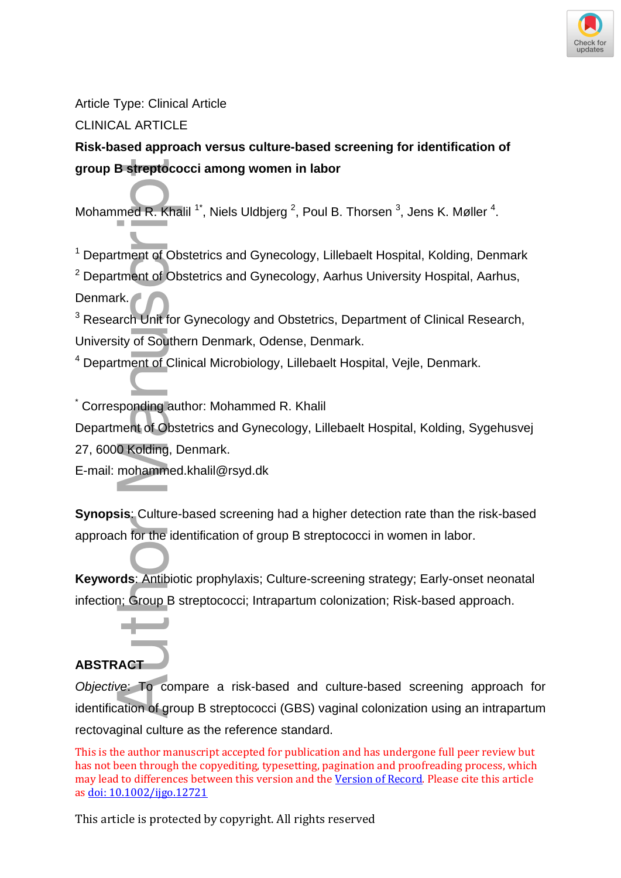

Article Type: Clinical Article

CLINICAL ARTICLE

# **Risk-based approach versus culture-based screening for identification of group B streptococci among women in labor**

Mohammed R. Khalil  $1^*$ , Niels Uldbjerg  $^2$ , Poul B. Thorsen  $^3$ , Jens K. Møller  $^4$ .

<sup>1</sup> Department of Obstetrics and Gynecology, Lillebaelt Hospital, Kolding, Denmark

 $2$  Department of Obstetrics and Gynecology, Aarhus University Hospital, Aarhus, Denmark.

<sup>3</sup> Research Unit for Gynecology and Obstetrics, Department of Clinical Research, University of Southern Denmark, Odense, Denmark.

<sup>4</sup> Department of Clinical Microbiology, Lillebaelt Hospital, Vejle, Denmark.

\* Corresponding author: Mohammed R. Khalil

Department of Obstetrics and Gynecology, Lillebaelt Hospital, Kolding, Sygehusvej 27, 6000 Kolding, Denmark.

E-mail: mohammed.khalil@rsyd.dk

**Synopsis**: Culture-based screening had a higher detection rate than the risk-based approach for the identification of group B streptococci in women in labor.

**Keywords**: Antibiotic prophylaxis; Culture-screening strategy; Early-onset neonatal infection; Group B streptococci; Intrapartum colonization; Risk-based approach.

# **ABSTRACT**

Objective: To compare a risk-based and culture-based screening approach for identification of group B streptococci (GBS) vaginal colonization using an intrapartum **Solution Business Author:**<br>
Mohammed R. Khalil<br>
<sup>1</sup> Department of Obstet<br>
<sup>2</sup> Department of Obstet<br>
Denmark.<br>
<sup>3</sup> Research Unit for Gyr<br>
University of Southern I<br>
<sup>4</sup> Department of Clinica<br>
<br>
Corresponding author<br>
Departm rectovaginal culture as the reference standard.

This is the author manuscript accepted for publication and has undergone full peer review but has not been through the copyediting, typesetting, pagination and proofreading process, which may lead to differences between this version and the [Version of Record.](https://doi.org/10.1002/ijgo.12721) Please cite this article a[s doi: 10.1002/ijgo.12721](https://doi.org/10.1002/ijgo.12721)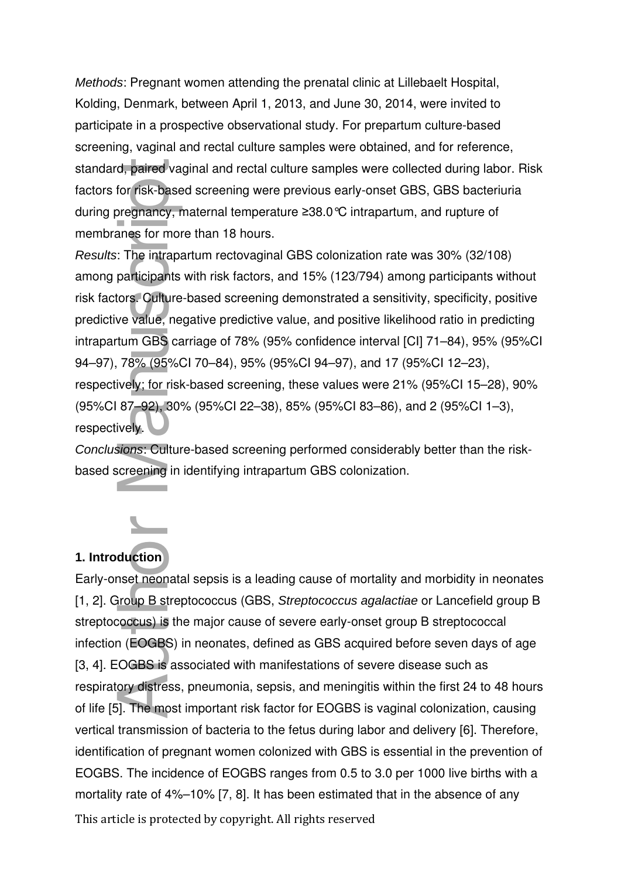Methods: Pregnant women attending the prenatal clinic at Lillebaelt Hospital, Kolding, Denmark, between April 1, 2013, and June 30, 2014, were invited to participate in a prospective observational study. For prepartum culture-based screening, vaginal and rectal culture samples were obtained, and for reference, standard, paired vaginal and rectal culture samples were collected during labor. Risk factors for risk-based screening were previous early-onset GBS, GBS bacteriuria during pregnancy, maternal temperature ≥38.0°C intrapartum, and rupture of membranes for more than 18 hours.

Results: The intrapartum rectovaginal GBS colonization rate was 30% (32/108) among participants with risk factors, and 15% (123/794) among participants without risk factors. Culture-based screening demonstrated a sensitivity, specificity, positive predictive value, negative predictive value, and positive likelihood ratio in predicting intrapartum GBS carriage of 78% (95% confidence interval [CI] 71–84), 95% (95%CI 94–97), 78% (95%CI 70–84), 95% (95%CI 94–97), and 17 (95%CI 12–23), respectively; for risk-based screening, these values were 21% (95%CI 15–28), 90% (95%CI 87–92), 30% (95%CI 22–38), 85% (95%CI 83–86), and 2 (95%CI 1–3), respectively.

Conclusions: Culture-based screening performed considerably better than the riskbased screening in identifying intrapartum GBS colonization.



## **1. Introduction**

This article is protected by copyright. All rights reserved Early-onset neonatal sepsis is a leading cause of mortality and morbidity in neonates [1, 2]. Group B streptococcus (GBS, Streptococcus agalactiae or Lancefield group B streptococcus) is the major cause of severe early-onset group B streptococcal infection (EOGBS) in neonates, defined as GBS acquired before seven days of age [3, 4]. EOGBS is associated with manifestations of severe disease such as respiratory distress, pneumonia, sepsis, and meningitis within the first 24 to 48 hours of life [5]. The most important risk factor for EOGBS is vaginal colonization, causing vertical transmission of bacteria to the fetus during labor and delivery [6]. Therefore, identification of pregnant women colonized with GBS is essential in the prevention of EOGBS. The incidence of EOGBS ranges from 0.5 to 3.0 per 1000 live births with a standard, paired vaginal and rectal culture samples were collected during labor. For fast-based screening were previous early-onset GBS, GBS bacteriuria<br>during pregnamey, maternal temperature 238.0°C intrapartum, and ruptu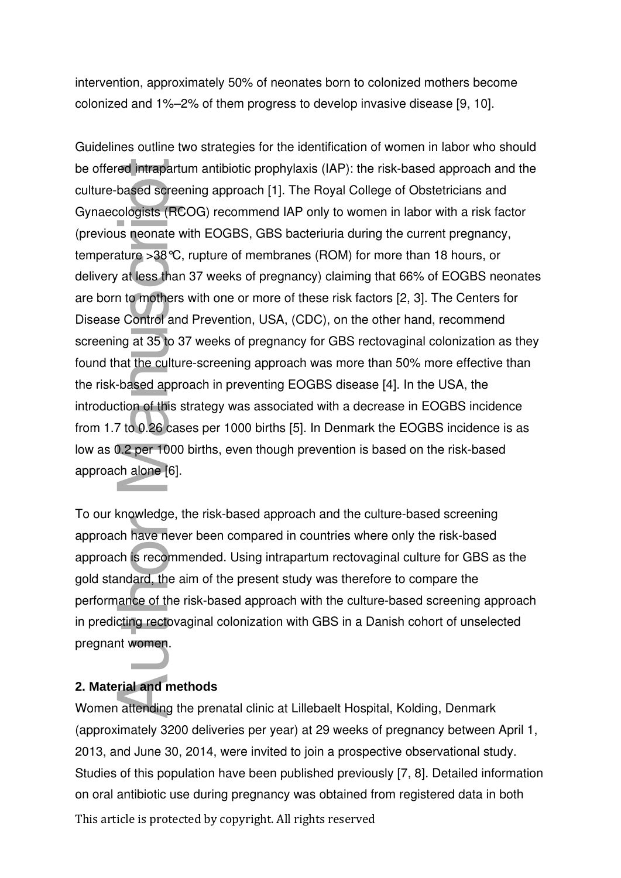intervention, approximately 50% of neonates born to colonized mothers become colonized and 1%–2% of them progress to develop invasive disease [9, 10].

Guidelines outline two strategies for the identification of women in labor who should be offered intrapartum antibiotic prophylaxis (IAP): the risk-based approach and the culture-based screening approach [1]. The Royal College of Obstetricians and Gynaecologists (RCOG) recommend IAP only to women in labor with a risk factor (previous neonate with EOGBS, GBS bacteriuria during the current pregnancy, temperature >38°C, rupture of membranes (ROM) for more than 18 hours, or delivery at less than 37 weeks of pregnancy) claiming that 66% of EOGBS neonates are born to mothers with one or more of these risk factors [2, 3]. The Centers for Disease Control and Prevention, USA, (CDC), on the other hand, recommend screening at 35 to 37 weeks of pregnancy for GBS rectovaginal colonization as they found that the culture-screening approach was more than 50% more effective than the risk-based approach in preventing EOGBS disease [4]. In the USA, the introduction of this strategy was associated with a decrease in EOGBS incidence from 1.7 to 0.26 cases per 1000 births [5]. In Denmark the EOGBS incidence is as low as 0.2 per 1000 births, even though prevention is based on the risk-based approach alone [6]. be offered intrapartum antibiotic prophylaxis (IAP): the risk-based approach and trutture-based corotoning approach [1]. The Royal College of Costetivicias and<br>Cynaecologies freCOQ) recomment IAP rolly to women in labor wi

To our knowledge, the risk-based approach and the culture-based screening approach have never been compared in countries where only the risk-based approach is recommended. Using intrapartum rectovaginal culture for GBS as the gold standard, the aim of the present study was therefore to compare the performance of the risk-based approach with the culture-based screening approach in predicting rectovaginal colonization with GBS in a Danish cohort of unselected pregnant women.

### **2. Material and methods**

This article is protected by copyright. All rights reserved Women attending the prenatal clinic at Lillebaelt Hospital, Kolding, Denmark (approximately 3200 deliveries per year) at 29 weeks of pregnancy between April 1, 2013, and June 30, 2014, were invited to join a prospective observational study. Studies of this population have been published previously [7, 8]. Detailed information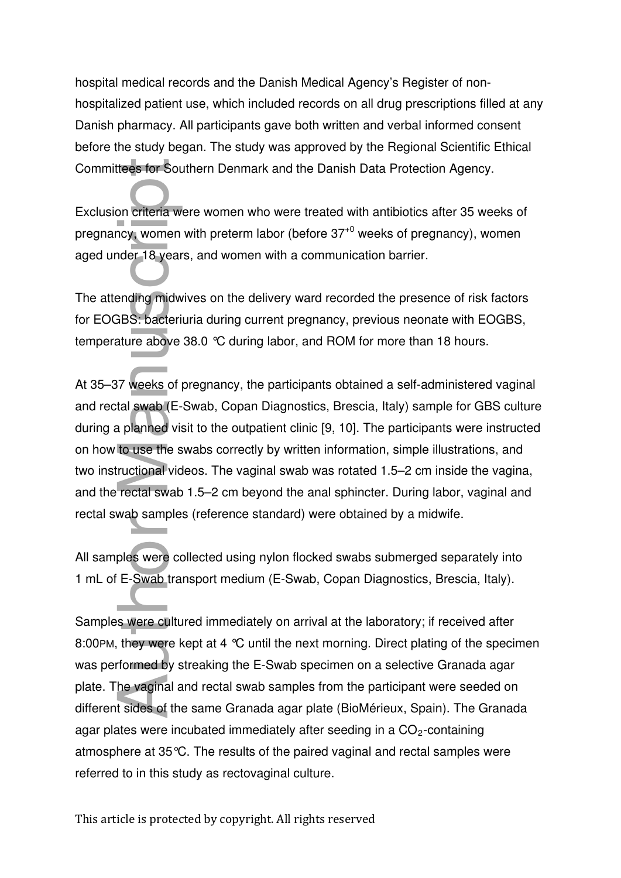hospital medical records and the Danish Medical Agency's Register of nonhospitalized patient use, which included records on all drug prescriptions filled at any Danish pharmacy. All participants gave both written and verbal informed consent before the study began. The study was approved by the Regional Scientific Ethical Committees for Southern Denmark and the Danish Data Protection Agency.

Exclusion criteria were women who were treated with antibiotics after 35 weeks of pregnancy, women with preterm labor (before 37+0 weeks of pregnancy), women aged under 18 years, and women with a communication barrier.

The attending midwives on the delivery ward recorded the presence of risk factors for EOGBS: bacteriuria during current pregnancy, previous neonate with EOGBS, temperature above 38.0 °C during labor, and ROM for more than 18 hours.

At 35–37 weeks of pregnancy, the participants obtained a self-administered vaginal and rectal swab (E-Swab, Copan Diagnostics, Brescia, Italy) sample for GBS culture during a planned visit to the outpatient clinic [9, 10]. The participants were instructed on how to use the swabs correctly by written information, simple illustrations, and two instructional videos. The vaginal swab was rotated 1.5–2 cm inside the vagina, and the rectal swab 1.5–2 cm beyond the anal sphincter. During labor, vaginal and rectal swab samples (reference standard) were obtained by a midwife.

All samples were collected using nylon flocked swabs submerged separately into 1 mL of E-Swab transport medium (E-Swab, Copan Diagnostics, Brescia, Italy).

Samples were cultured immediately on arrival at the laboratory; if received after 8:00PM, they were kept at 4 °C until the next morning. Direct plating of the specimen was performed by streaking the E-Swab specimen on a selective Granada agar plate. The vaginal and rectal swab samples from the participant were seeded on different sides of the same Granada agar plate (BioMérieux, Spain). The Granada agar plates were incubated immediately after seeding in a  $CO<sub>2</sub>$ -containing atmosphere at 35°C. The results of the paired vaginal and rectal samples were Committees for Southern Denmark and the Dar<br>Exclusion criteria were women who were treate<br>pregnancy, women with preterm labor (before 3<br>aged under 18 years, and women with a commi<br>The attending midwives on the delivery war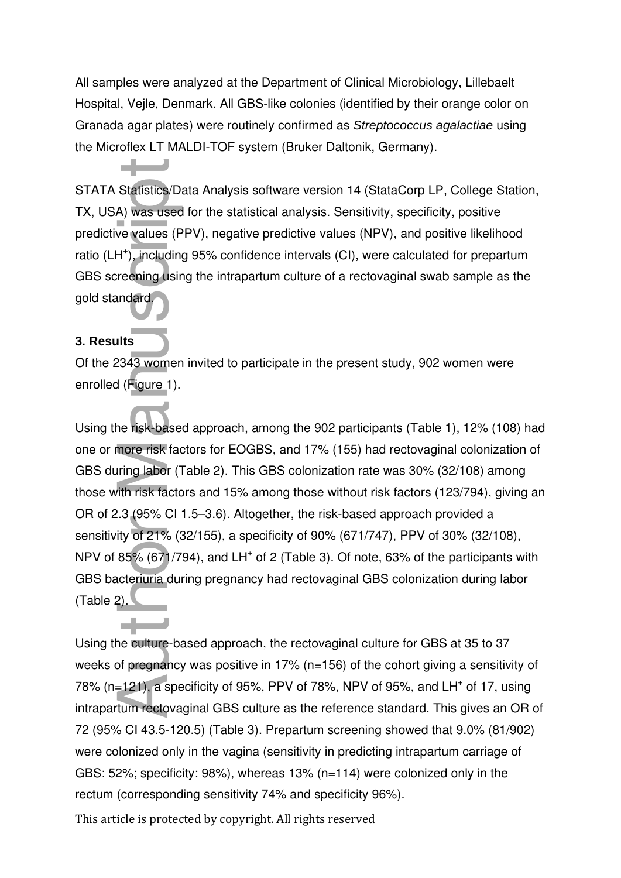All samples were analyzed at the Department of Clinical Microbiology, Lillebaelt Hospital, Vejle, Denmark. All GBS-like colonies (identified by their orange color on Granada agar plates) were routinely confirmed as Streptococcus agalactiae using the Microflex LT MALDI-TOF system (Bruker Daltonik, Germany).

STATA Statistics/Data Analysis software version 14 (StataCorp LP, College Station, TX, USA) was used for the statistical analysis. Sensitivity, specificity, positive predictive values (PPV), negative predictive values (NPV), and positive likelihood ratio (LH<sup>+</sup>), including 95% confidence intervals (CI), were calculated for prepartum GBS screening using the intrapartum culture of a rectovaginal swab sample as the gold standard.

#### **3. Results**

Of the 2343 women invited to participate in the present study, 902 women were enrolled (Figure 1).

Using the risk-based approach, among the 902 participants (Table 1), 12% (108) had one or more risk factors for EOGBS, and 17% (155) had rectovaginal colonization of GBS during labor (Table 2). This GBS colonization rate was 30% (32/108) among those with risk factors and 15% among those without risk factors (123/794), giving an OR of 2.3 (95% CI 1.5–3.6). Altogether, the risk-based approach provided a sensitivity of 21% (32/155), a specificity of 90% (671/747), PPV of 30% (32/108), NPV of 85% (671/794), and LH<sup>+</sup> of 2 (Table 3). Of note, 63% of the participants with GBS bacteriuria during pregnancy had rectovaginal GBS colonization during labor (Table 2). STATA Statistics/Data Analysis software version 14 (StataC<br>TX, USA) was used for the statistical analysis. Sensitivity, stratic<br>predictive values (PPV), negative predictive values (NPV), a<br>ratio (LH'), including 95% confid

Using the culture-based approach, the rectovaginal culture for GBS at 35 to 37 weeks of pregnancy was positive in 17% (n=156) of the cohort giving a sensitivity of 78% (n=121), a specificity of 95%, PPV of 78%, NPV of 95%, and LH<sup>+</sup> of 17, using intrapartum rectovaginal GBS culture as the reference standard. This gives an OR of 72 (95% CI 43.5-120.5) (Table 3). Prepartum screening showed that 9.0% (81/902) were colonized only in the vagina (sensitivity in predicting intrapartum carriage of GBS: 52%; specificity: 98%), whereas 13% (n=114) were colonized only in the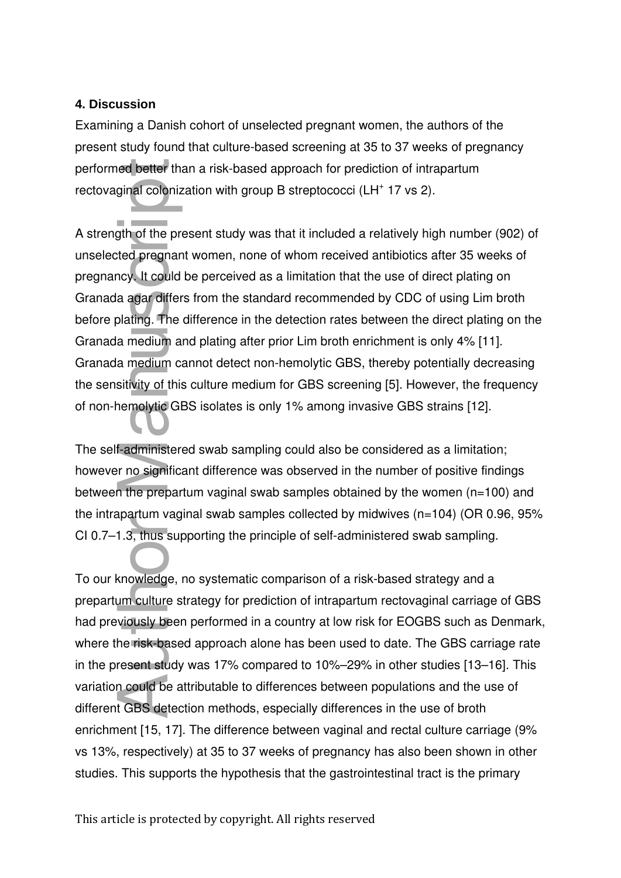#### **4. Discussion**

Examining a Danish cohort of unselected pregnant women, the authors of the present study found that culture-based screening at 35 to 37 weeks of pregnancy performed better than a risk-based approach for prediction of intrapartum rectovaginal colonization with group B streptococci (LH<sup>+</sup> 17 vs 2).

A strength of the present study was that it included a relatively high number (902) of unselected pregnant women, none of whom received antibiotics after 35 weeks of pregnancy. It could be perceived as a limitation that the use of direct plating on Granada agar differs from the standard recommended by CDC of using Lim broth before plating. The difference in the detection rates between the direct plating on the Granada medium and plating after prior Lim broth enrichment is only 4% [11]. Granada medium cannot detect non-hemolytic GBS, thereby potentially decreasing the sensitivity of this culture medium for GBS screening [5]. However, the frequency of non-hemolytic GBS isolates is only 1% among invasive GBS strains [12].

The self-administered swab sampling could also be considered as a limitation; however no significant difference was observed in the number of positive findings between the prepartum vaginal swab samples obtained by the women (n=100) and the intrapartum vaginal swab samples collected by midwives (n=104) (OR 0.96, 95% CI 0.7–1.3, thus supporting the principle of self-administered swab sampling.

To our knowledge, no systematic comparison of a risk-based strategy and a prepartum culture strategy for prediction of intrapartum rectovaginal carriage of GBS had previously been performed in a country at low risk for EOGBS such as Denmark, where the risk-based approach alone has been used to date. The GBS carriage rate in the present study was 17% compared to 10%–29% in other studies [13–16]. This variation could be attributable to differences between populations and the use of different GBS detection methods, especially differences in the use of broth enrichment [15, 17]. The difference between vaginal and rectal culture carriage (9% vs 13%, respectively) at 35 to 37 weeks of pregnancy has also been shown in other performed better than a risk-based approach for prediction of intrapartum<br>rectovaginal conenization with group B streptococci (LH\* 17 vs 2).<br>A strength of the present study was that it included a relatively high number (90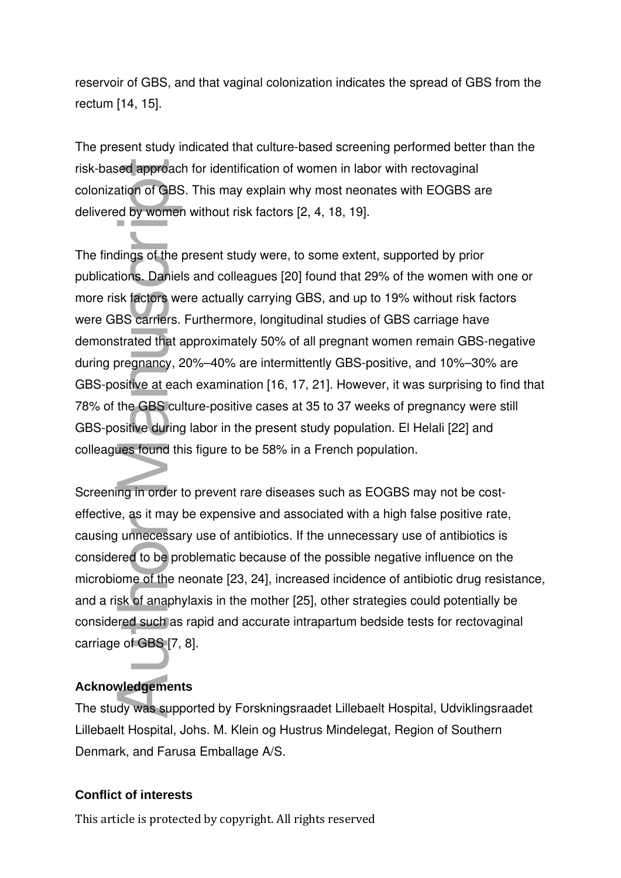reservoir of GBS, and that vaginal colonization indicates the spread of GBS from the rectum [14, 15].

The present study indicated that culture-based screening performed better than the risk-based approach for identification of women in labor with rectovaginal colonization of GBS. This may explain why most neonates with EOGBS are delivered by women without risk factors [2, 4, 18, 19].

The findings of the present study were, to some extent, supported by prior publications. Daniels and colleagues [20] found that 29% of the women with one or more risk factors were actually carrying GBS, and up to 19% without risk factors were GBS carriers. Furthermore, longitudinal studies of GBS carriage have demonstrated that approximately 50% of all pregnant women remain GBS-negative during pregnancy, 20%–40% are intermittently GBS-positive, and 10%–30% are GBS-positive at each examination [16, 17, 21]. However, it was surprising to find that 78% of the GBS culture-positive cases at 35 to 37 weeks of pregnancy were still GBS-positive during labor in the present study population. El Helali [22] and colleagues found this figure to be 58% in a French population. risk-based approach f<br>colonization of GBS. 1<br>delivered by women w<br>The findings of the pre<br>publications. Daniels a<br>more risk factors were<br>were GBS carriers. Fu<br>demonstrated that app<br>during pregnancy, 20°<br>GBS-positive at eac

Screening in order to prevent rare diseases such as EOGBS may not be costeffective, as it may be expensive and associated with a high false positive rate, causing unnecessary use of antibiotics. If the unnecessary use of antibiotics is considered to be problematic because of the possible negative influence on the microbiome of the neonate [23, 24], increased incidence of antibiotic drug resistance, and a risk of anaphylaxis in the mother [25], other strategies could potentially be considered such as rapid and accurate intrapartum bedside tests for rectovaginal carriage of GBS [7, 8].

### **Acknowledgements**

The study was supported by Forskningsraadet Lillebaelt Hospital, Udviklingsraadet Lillebaelt Hospital, Johs. M. Klein og Hustrus Mindelegat, Region of Southern Denmark, and Farusa Emballage A/S.

#### **Conflict of interests**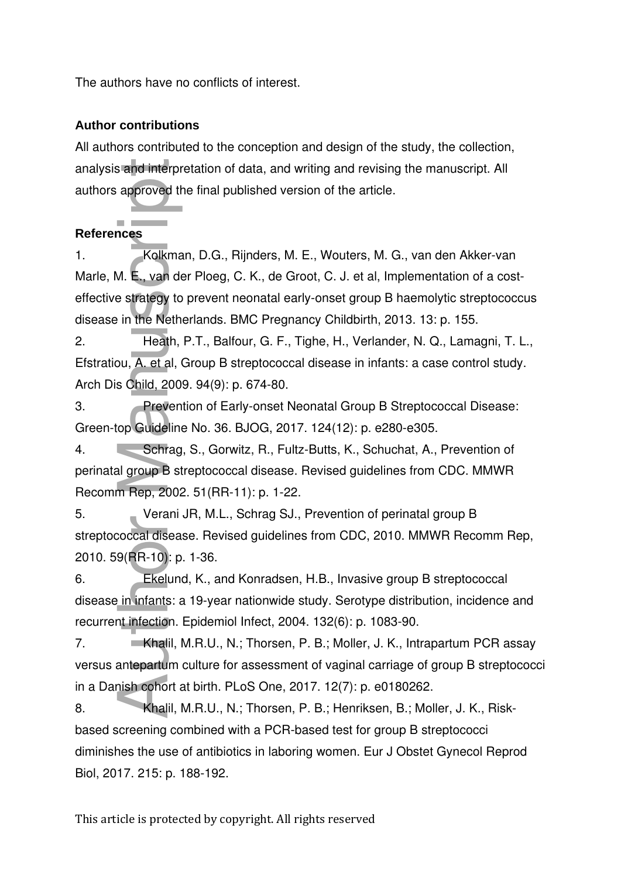The authors have no conflicts of interest.

### **Author contributions**

All authors contributed to the conception and design of the study, the collection, analysis and interpretation of data, and writing and revising the manuscript. All authors approved the final published version of the article.

# **References**

1. Kolkman, D.G., Rijnders, M. E., Wouters, M. G., van den Akker-van Marle, M. E., van der Ploeg, C. K., de Groot, C. J. et al, Implementation of a costeffective strategy to prevent neonatal early-onset group B haemolytic streptococcus disease in the Netherlands. BMC Pregnancy Childbirth, 2013. 13: p. 155. analysis and interpretation compared the final procedure of the Marle, M. E., van der Ploeg, effective strategy to prevent disease in the Netherlands.<br>
2. Heath, P.T., Ba Efstratiou, A. et al, Group B<br>
Arch Dis Child, 2009

2. Heath, P.T., Balfour, G. F., Tighe, H., Verlander, N. Q., Lamagni, T. L., Efstratiou, A. et al, Group B streptococcal disease in infants: a case control study. Arch Dis Child, 2009. 94(9): p. 674-80.

3. Prevention of Early-onset Neonatal Group B Streptococcal Disease: Green-top Guideline No. 36. BJOG, 2017. 124(12): p. e280-e305.

4. Schrag, S., Gorwitz, R., Fultz-Butts, K., Schuchat, A., Prevention of perinatal group B streptococcal disease. Revised guidelines from CDC. MMWR Recomm Rep, 2002. 51(RR-11): p. 1-22.

5. Verani JR, M.L., Schrag SJ., Prevention of perinatal group B streptococcal disease. Revised guidelines from CDC, 2010. MMWR Recomm Rep, 2010. 59(RR-10): p. 1-36.

6. Ekelund, K., and Konradsen, H.B., Invasive group B streptococcal disease in infants: a 19-year nationwide study. Serotype distribution, incidence and recurrent infection. Epidemiol Infect, 2004. 132(6): p. 1083-90.

7. Khalil, M.R.U., N.; Thorsen, P. B.; Moller, J. K., Intrapartum PCR assay versus antepartum culture for assessment of vaginal carriage of group B streptococci in a Danish cohort at birth. PLoS One, 2017. 12(7): p. e0180262.

8. Khalil, M.R.U., N.; Thorsen, P. B.; Henriksen, B.; Moller, J. K., Riskbased screening combined with a PCR-based test for group B streptococci diminishes the use of antibiotics in laboring women. Eur J Obstet Gynecol Reprod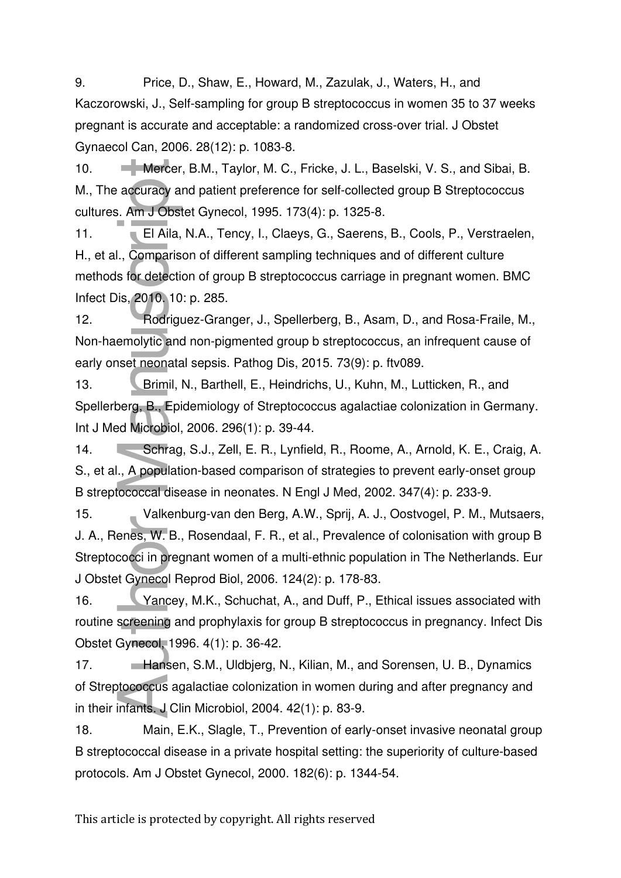9. Price, D., Shaw, E., Howard, M., Zazulak, J., Waters, H., and Kaczorowski, J., Self-sampling for group B streptococcus in women 35 to 37 weeks pregnant is accurate and acceptable: a randomized cross-over trial. J Obstet Gynaecol Can, 2006. 28(12): p. 1083-8.

10. **Mercer, B.M., Taylor, M. C., Fricke, J. L., Baselski, V. S., and Sibai, B.** M., The accuracy and patient preference for self-collected group B Streptococcus cultures. Am J Obstet Gynecol, 1995. 173(4): p. 1325-8.

11. El Aila, N.A., Tency, I., Claeys, G., Saerens, B., Cools, P., Verstraelen, H., et al., Comparison of different sampling techniques and of different culture methods for detection of group B streptococcus carriage in pregnant women. BMC Infect Dis, 2010. 10: p. 285. Morch, B.M., Taylor, M. C., Fricke, J. L., Base<br>
M., The accuracy and patient preference for self-collected<br>
cultures. Am J Obstet Gynecol, 1995. 173(4): p. 1325-8.<br>
11. El Aila, N.A., Tency, I., Claeys, G., Saerens, B<br>
H.

12. Rodriguez-Granger, J., Spellerberg, B., Asam, D., and Rosa-Fraile, M., Non-haemolytic and non-pigmented group b streptococcus, an infrequent cause of early onset neonatal sepsis. Pathog Dis, 2015. 73(9): p. ftv089.

13. Brimil, N., Barthell, E., Heindrichs, U., Kuhn, M., Lutticken, R., and Spellerberg, B., Epidemiology of Streptococcus agalactiae colonization in Germany. Int J Med Microbiol, 2006. 296(1): p. 39-44.

14. Schrag, S.J., Zell, E. R., Lynfield, R., Roome, A., Arnold, K. E., Craig, A. S., et al., A population-based comparison of strategies to prevent early-onset group B streptococcal disease in neonates. N Engl J Med, 2002. 347(4): p. 233-9.

15. Valkenburg-van den Berg, A.W., Sprij, A. J., Oostvogel, P. M., Mutsaers, J. A., Renes, W. B., Rosendaal, F. R., et al., Prevalence of colonisation with group B Streptococci in pregnant women of a multi-ethnic population in The Netherlands. Eur J Obstet Gynecol Reprod Biol, 2006. 124(2): p. 178-83.

16. Yancey, M.K., Schuchat, A., and Duff, P., Ethical issues associated with routine screening and prophylaxis for group B streptococcus in pregnancy. Infect Dis Obstet Gynecol, 1996. 4(1): p. 36-42.

17. **Hansen, S.M., Uldbjerg, N., Kilian, M., and Sorensen, U. B., Dynamics** of Streptococcus agalactiae colonization in women during and after pregnancy and in their infants. J Clin Microbiol, 2004. 42(1): p. 83-9.

18. Main, E.K., Slagle, T., Prevention of early-onset invasive neonatal group B streptococcal disease in a private hospital setting: the superiority of culture-based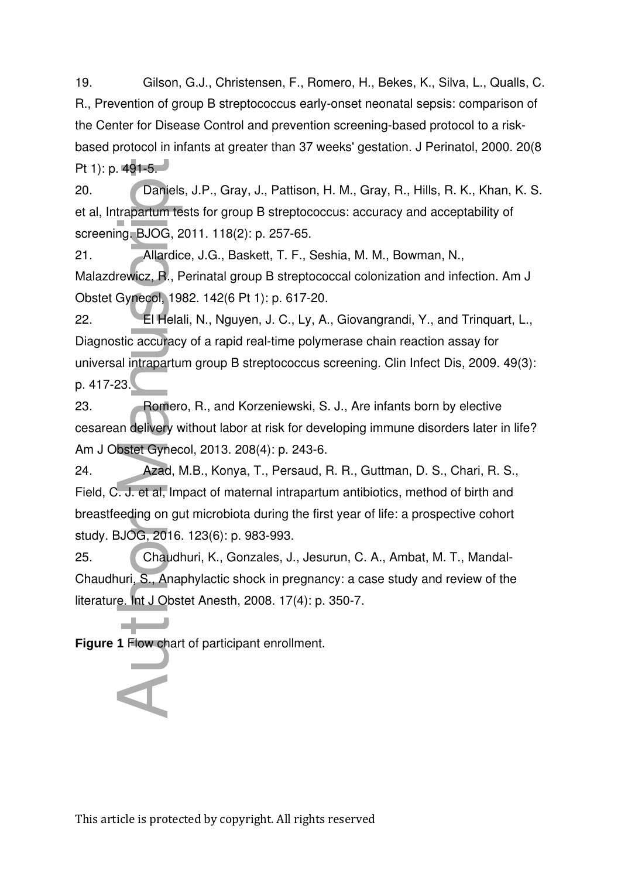19. Gilson, G.J., Christensen, F., Romero, H., Bekes, K., Silva, L., Qualls, C. R., Prevention of group B streptococcus early-onset neonatal sepsis: comparison of the Center for Disease Control and prevention screening-based protocol to a riskbased protocol in infants at greater than 37 weeks' gestation. J Perinatol, 2000. 20(8 Pt 1): p.  $491-5.$ 

20. Daniels, J.P., Gray, J., Pattison, H. M., Gray, R., Hills, R. K., Khan, K. S. et al, Intrapartum tests for group B streptococcus: accuracy and acceptability of screening. BJOG, 2011. 118(2): p. 257-65.

21. Allardice, J.G., Baskett, T. F., Seshia, M. M., Bowman, N., Malazdrewicz, R., Perinatal group B streptococcal colonization and infection. Am J Obstet Gynecol, 1982. 142(6 Pt 1): p. 617-20.

22. El Helali, N., Nguyen, J. C., Ly, A., Giovangrandi, Y., and Trinquart, L., Diagnostic accuracy of a rapid real-time polymerase chain reaction assay for universal intrapartum group B streptococcus screening. Clin Infect Dis, 2009. 49(3): p. 417-23. **Figure 1**<br> **Figure 1 Figure 1**<br> **Figure 1**<br> **Figure 1**<br> **Figure 1**<br> **Figure 1**<br> **Figure 1**<br> **Figure 1**<br> **Figure 1**<br> **Figure 1**<br> **Figure 1**<br> **Figure 1**<br> **Figure 1**<br> **Figure 1**<br> **Figure 1**<br> **Figure 1**<br> **Figure 1**<br> **Figure** 

23. Romero, R., and Korzeniewski, S. J., Are infants born by elective cesarean delivery without labor at risk for developing immune disorders later in life? Am J Obstet Gynecol, 2013. 208(4): p. 243-6.

24. Azad, M.B., Konya, T., Persaud, R. R., Guttman, D. S., Chari, R. S., Field, C. J. et al, Impact of maternal intrapartum antibiotics, method of birth and breastfeeding on gut microbiota during the first year of life: a prospective cohort study. BJOG, 2016. 123(6): p. 983-993.

25. Chaudhuri, K., Gonzales, J., Jesurun, C. A., Ambat, M. T., Mandal-Chaudhuri, S., Anaphylactic shock in pregnancy: a case study and review of the literature. Int J Obstet Anesth, 2008. 17(4): p. 350-7.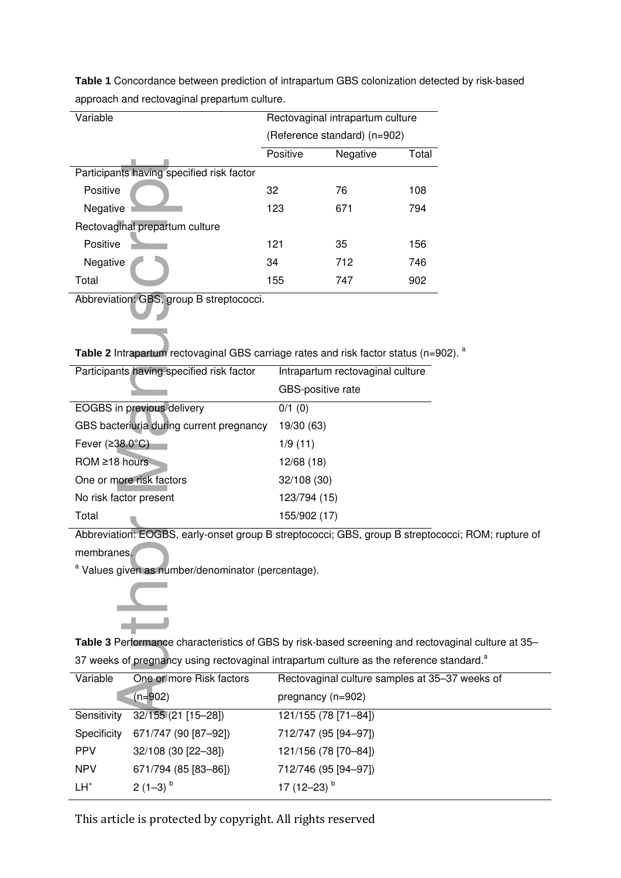| Variable                                  |                              | Rectovaginal intrapartum culture |       |
|-------------------------------------------|------------------------------|----------------------------------|-------|
|                                           | (Reference standard) (n=902) |                                  |       |
|                                           | Positive                     | Negative                         | Total |
| Participants having specified risk factor |                              |                                  |       |
| Positive                                  | 32                           | 76                               | 108   |
| Negative                                  | 123                          | 671                              | 794   |
| Rectovaginal prepartum culture            |                              |                                  |       |
| Positive                                  | 121                          | 35                               | 156   |
| Negative                                  | 34                           | 712                              | 746   |
| Total                                     | 155                          | 747                              | 902   |

**Table 1** Concordance between prediction of intrapartum GBS colonization detected by risk-based approach and rectovaginal prepartum culture.

|  |  |  | Table 2 Intrapartum rectovaginal GBS carriage rates and risk factor status (n=902). <sup>a</sup> |
|--|--|--|--------------------------------------------------------------------------------------------------|
|--|--|--|--------------------------------------------------------------------------------------------------|

| Participants having specified risk factor                                                                                    |                      |                                     |     |  |
|------------------------------------------------------------------------------------------------------------------------------|----------------------|-------------------------------------|-----|--|
| Positive                                                                                                                     | 32                   | 76                                  | 108 |  |
| Negative                                                                                                                     | 123                  | 671                                 | 794 |  |
| Rectovaginal prepartum culture                                                                                               |                      |                                     |     |  |
| Positive                                                                                                                     | 121                  | 35                                  | 156 |  |
| Negative                                                                                                                     | 34                   | 712                                 | 746 |  |
| Total                                                                                                                        | 155                  | 747                                 | 902 |  |
| Abbreviation: GBS, group B streptococci.<br>Table 2 Intrapartum rectovaginal GBS carriage rates and risk factor status (n=90 |                      |                                     |     |  |
| Participants having specified risk factor                                                                                    |                      | Intrapartum rectovaginal culture    |     |  |
|                                                                                                                              |                      | GBS-positive rate                   |     |  |
| EOGBS in previous delivery                                                                                                   | $\overline{0}/1$ (0) |                                     |     |  |
| GBS bacteriuria during current pregnancy                                                                                     | 19/30 (63)           |                                     |     |  |
| Fever $(238.0^{\circ}C)$                                                                                                     | 1/9(11)              |                                     |     |  |
| ROM ≥18 hours                                                                                                                | 12/68 (18)           |                                     |     |  |
| One or more risk factors                                                                                                     | 32/108 (30)          |                                     |     |  |
| No risk factor present                                                                                                       | 123/794 (15)         |                                     |     |  |
| Total                                                                                                                        |                      | 155/902 (17)                        |     |  |
| Abbreviation: EOGBS, early-onset group B streptococci; GBS, group B streptoco                                                |                      |                                     |     |  |
| membranes.                                                                                                                   |                      |                                     |     |  |
| <sup>a</sup> Values given as number/denominator (percentage).                                                                |                      |                                     |     |  |
|                                                                                                                              |                      |                                     |     |  |
| Table 3 Performance characteristics of GBS by risk-based screening and rectova                                               |                      |                                     |     |  |
| 37 weeks of pregnancy using rectovaginal intrapartum culture as the reference s                                              |                      |                                     |     |  |
| One or more Risk factors<br>Variable                                                                                         |                      | Rectovaginal culture samples at 35- |     |  |
| $(n=902)$                                                                                                                    |                      | pregnancy (n=902)                   |     |  |
| Sensitivity 32/155 (21 [15-28])                                                                                              |                      | 121/155 (78 [71-84])                |     |  |

Abbreviation: EOGBS, early-onset group B streptococci; GBS, group B streptococci; ROM; rupture of membranes.



**Table 3** Performance characteristics of GBS by risk-based screening and rectovaginal culture at 35– 37 weeks of pregnancy using rectovaginal intrapartum culture as the reference standard. $a$ 

| Variable    | One or more Risk factors | Rectovaginal culture samples at 35-37 weeks of |
|-------------|--------------------------|------------------------------------------------|
|             | $(n=902)$                | pregnancy (n=902)                              |
| Sensitivity | 32/155 (21 [15-28])      | 121/155 (78 [71-84])                           |
| Specificity | 671/747 (90 [87-92])     | 712/747 (95 [94-97])                           |
| <b>PPV</b>  | 32/108 (30 [22-38])      | 121/156 (78 [70-84])                           |
| <b>NPV</b>  | 671/794 (85 [83-86])     | 712/746 (95 [94-97])                           |
| $LH^+$      | $2(1-3)^{b}$             | 17 $(12-23)$ <sup>b</sup>                      |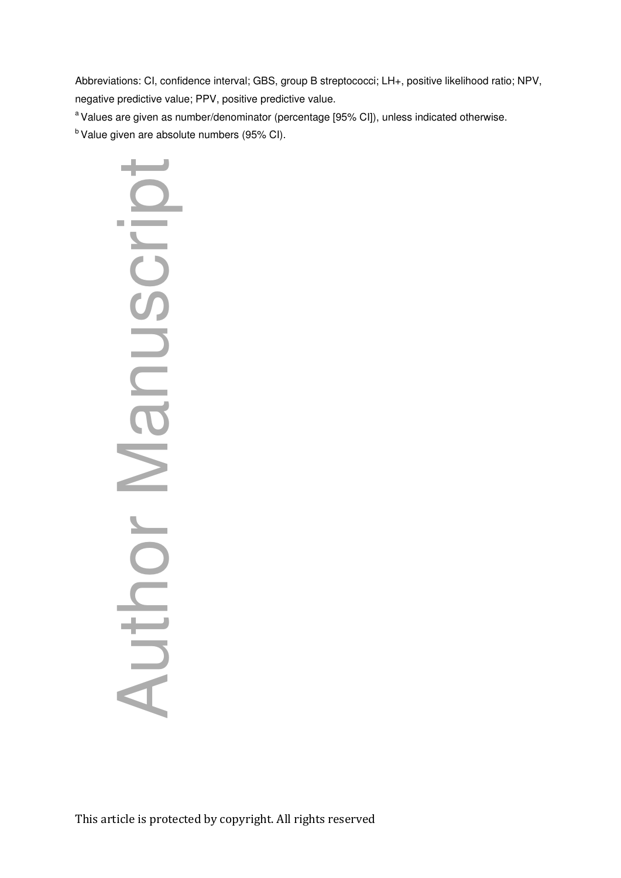Abbreviations: CI, confidence interval; GBS, group B streptococci; LH+, positive likelihood ratio; NPV, negative predictive value; PPV, positive predictive value.

<sup>a</sup> Values are given as number/denominator (percentage [95% CI]), unless indicated otherwise.

 $<sup>b</sup>$  Value given are absolute numbers (95% CI).</sup>

Author Manuscript **Contract Contract**  $\overline{\phantom{0}}$ Author Manusci